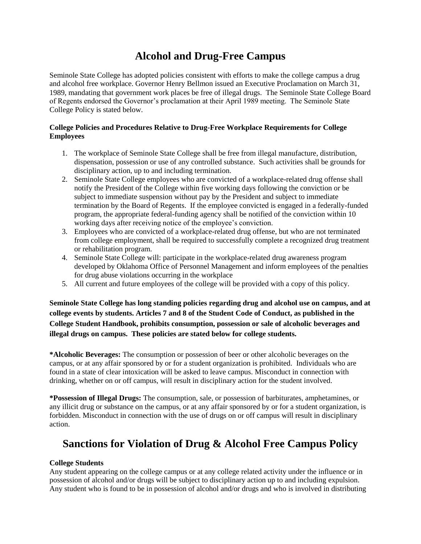# **Alcohol and Drug-Free Campus**

Seminole State College has adopted policies consistent with efforts to make the college campus a drug and alcohol free workplace. Governor Henry Bellmon issued an Executive Proclamation on March 31, 1989, mandating that government work places be free of illegal drugs. The Seminole State College Board of Regents endorsed the Governor's proclamation at their April 1989 meeting. The Seminole State College Policy is stated below.

#### **College Policies and Procedures Relative to Drug-Free Workplace Requirements for College Employees**

- 1. The workplace of Seminole State College shall be free from illegal manufacture, distribution, dispensation, possession or use of any controlled substance. Such activities shall be grounds for disciplinary action, up to and including termination.
- 2. Seminole State College employees who are convicted of a workplace-related drug offense shall notify the President of the College within five working days following the conviction or be subject to immediate suspension without pay by the President and subject to immediate termination by the Board of Regents. If the employee convicted is engaged in a federally-funded program, the appropriate federal-funding agency shall be notified of the conviction within 10 working days after receiving notice of the employee's conviction.
- 3. Employees who are convicted of a workplace-related drug offense, but who are not terminated from college employment, shall be required to successfully complete a recognized drug treatment or rehabilitation program.
- 4. Seminole State College will: participate in the workplace-related drug awareness program developed by Oklahoma Office of Personnel Management and inform employees of the penalties for drug abuse violations occurring in the workplace
- 5. All current and future employees of the college will be provided with a copy of this policy.

**Seminole State College has long standing policies regarding drug and alcohol use on campus, and at college events by students. Articles 7 and 8 of the Student Code of Conduct, as published in the College Student Handbook, prohibits consumption, possession or sale of alcoholic beverages and illegal drugs on campus. These policies are stated below for college students.**

**\*Alcoholic Beverages:** The consumption or possession of beer or other alcoholic beverages on the campus, or at any affair sponsored by or for a student organization is prohibited. Individuals who are found in a state of clear intoxication will be asked to leave campus. Misconduct in connection with drinking, whether on or off campus, will result in disciplinary action for the student involved.

**\*Possession of Illegal Drugs:** The consumption, sale, or possession of barbiturates, amphetamines, or any illicit drug or substance on the campus, or at any affair sponsored by or for a student organization, is forbidden. Misconduct in connection with the use of drugs on or off campus will result in disciplinary action.

## **Sanctions for Violation of Drug & Alcohol Free Campus Policy**

#### **College Students**

Any student appearing on the college campus or at any college related activity under the influence or in possession of alcohol and/or drugs will be subject to disciplinary action up to and including expulsion. Any student who is found to be in possession of alcohol and/or drugs and who is involved in distributing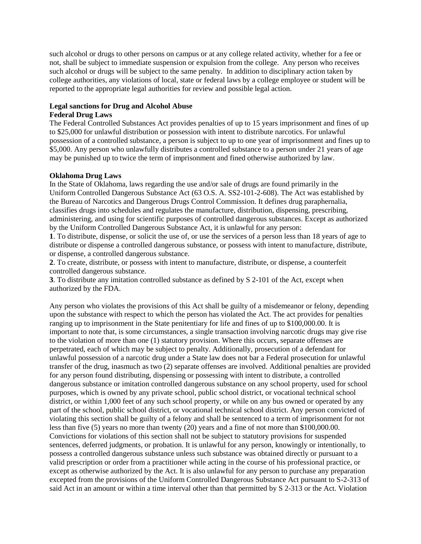such alcohol or drugs to other persons on campus or at any college related activity, whether for a fee or not, shall be subject to immediate suspension or expulsion from the college. Any person who receives such alcohol or drugs will be subject to the same penalty. In addition to disciplinary action taken by college authorities, any violations of local, state or federal laws by a college employee or student will be reported to the appropriate legal authorities for review and possible legal action.

### **Legal sanctions for Drug and Alcohol Abuse**

#### **Federal Drug Laws**

The Federal Controlled Substances Act provides penalties of up to 15 years imprisonment and fines of up to \$25,000 for unlawful distribution or possession with intent to distribute narcotics. For unlawful possession of a controlled substance, a person is subject to up to one year of imprisonment and fines up to \$5,000. Any person who unlawfully distributes a controlled substance to a person under 21 years of age may be punished up to twice the term of imprisonment and fined otherwise authorized by law.

#### **Oklahoma Drug Laws**

In the State of Oklahoma, laws regarding the use and/or sale of drugs are found primarily in the Uniform Controlled Dangerous Substance Act (63 O.S. A. SS2-101-2-608). The Act was established by the Bureau of Narcotics and Dangerous Drugs Control Commission. It defines drug paraphernalia, classifies drugs into schedules and regulates the manufacture, distribution, dispensing, prescribing, administering, and using for scientific purposes of controlled dangerous substances. Except as authorized by the Uniform Controlled Dangerous Substance Act, it is unlawful for any person:

**1**. To distribute, dispense, or solicit the use of, or use the services of a person less than 18 years of age to distribute or dispense a controlled dangerous substance, or possess with intent to manufacture, distribute, or dispense, a controlled dangerous substance.

**2**. To create, distribute, or possess with intent to manufacture, distribute, or dispense, a counterfeit controlled dangerous substance.

**3**. To distribute any imitation controlled substance as defined by S 2-101 of the Act, except when authorized by the FDA.

Any person who violates the provisions of this Act shall be guilty of a misdemeanor or felony, depending upon the substance with respect to which the person has violated the Act. The act provides for penalties ranging up to imprisonment in the State penitentiary for life and fines of up to \$100,000.00. It is important to note that, is some circumstances, a single transaction involving narcotic drugs may give rise to the violation of more than one (1) statutory provision. Where this occurs, separate offenses are perpetrated, each of which may be subject to penalty. Additionally, prosecution of a defendant for unlawful possession of a narcotic drug under a State law does not bar a Federal prosecution for unlawful transfer of the drug, inasmuch as two (2) separate offenses are involved. Additional penalties are provided for any person found distributing, dispensing or possessing with intent to distribute, a controlled dangerous substance or imitation controlled dangerous substance on any school property, used for school purposes, which is owned by any private school, public school district, or vocational technical school district, or within 1,000 feet of any such school property, or while on any bus owned or operated by any part of the school, public school district, or vocational technical school district. Any person convicted of violating this section shall be guilty of a felony and shall be sentenced to a term of imprisonment for not less than five (5) years no more than twenty (20) years and a fine of not more than \$100,000.00. Convictions for violations of this section shall not be subject to statutory provisions for suspended sentences, deferred judgments, or probation. It is unlawful for any person, knowingly or intentionally, to possess a controlled dangerous substance unless such substance was obtained directly or pursuant to a valid prescription or order from a practitioner while acting in the course of his professional practice, or except as otherwise authorized by the Act. It is also unlawful for any person to purchase any preparation excepted from the provisions of the Uniform Controlled Dangerous Substance Act pursuant to S-2-313 of said Act in an amount or within a time interval other than that permitted by S 2-313 or the Act. Violation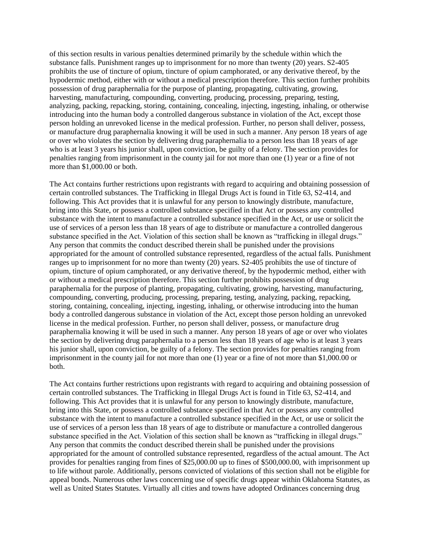of this section results in various penalties determined primarily by the schedule within which the substance falls. Punishment ranges up to imprisonment for no more than twenty (20) years. S2-405 prohibits the use of tincture of opium, tincture of opium camphorated, or any derivative thereof, by the hypodermic method, either with or without a medical prescription therefore. This section further prohibits possession of drug paraphernalia for the purpose of planting, propagating, cultivating, growing, harvesting, manufacturing, compounding, converting, producing, processing, preparing, testing, analyzing, packing, repacking, storing, containing, concealing, injecting, ingesting, inhaling, or otherwise introducing into the human body a controlled dangerous substance in violation of the Act, except those person holding an unrevoked license in the medical profession. Further, no person shall deliver, possess, or manufacture drug paraphernalia knowing it will be used in such a manner. Any person 18 years of age or over who violates the section by delivering drug paraphernalia to a person less than 18 years of age who is at least 3 years his junior shall, upon conviction, be guilty of a felony. The section provides for penalties ranging from imprisonment in the county jail for not more than one (1) year or a fine of not more than \$1,000.00 or both.

The Act contains further restrictions upon registrants with regard to acquiring and obtaining possession of certain controlled substances. The Trafficking in Illegal Drugs Act is found in Title 63, S2-414, and following. This Act provides that it is unlawful for any person to knowingly distribute, manufacture, bring into this State, or possess a controlled substance specified in that Act or possess any controlled substance with the intent to manufacture a controlled substance specified in the Act, or use or solicit the use of services of a person less than 18 years of age to distribute or manufacture a controlled dangerous substance specified in the Act. Violation of this section shall be known as "trafficking in illegal drugs." Any person that commits the conduct described therein shall be punished under the provisions appropriated for the amount of controlled substance represented, regardless of the actual falls. Punishment ranges up to imprisonment for no more than twenty (20) years. S2-405 prohibits the use of tincture of opium, tincture of opium camphorated, or any derivative thereof, by the hypodermic method, either with or without a medical prescription therefore. This section further prohibits possession of drug paraphernalia for the purpose of planting, propagating, cultivating, growing, harvesting, manufacturing, compounding, converting, producing, processing, preparing, testing, analyzing, packing, repacking, storing, containing, concealing, injecting, ingesting, inhaling, or otherwise introducing into the human body a controlled dangerous substance in violation of the Act, except those person holding an unrevoked license in the medical profession. Further, no person shall deliver, possess, or manufacture drug paraphernalia knowing it will be used in such a manner. Any person 18 years of age or over who violates the section by delivering drug paraphernalia to a person less than 18 years of age who is at least 3 years his junior shall, upon conviction, be guilty of a felony. The section provides for penalties ranging from imprisonment in the county jail for not more than one (1) year or a fine of not more than \$1,000.00 or both.

The Act contains further restrictions upon registrants with regard to acquiring and obtaining possession of certain controlled substances. The Trafficking in Illegal Drugs Act is found in Title 63, S2-414, and following. This Act provides that it is unlawful for any person to knowingly distribute, manufacture, bring into this State, or possess a controlled substance specified in that Act or possess any controlled substance with the intent to manufacture a controlled substance specified in the Act, or use or solicit the use of services of a person less than 18 years of age to distribute or manufacture a controlled dangerous substance specified in the Act. Violation of this section shall be known as "trafficking in illegal drugs." Any person that commits the conduct described therein shall be punished under the provisions appropriated for the amount of controlled substance represented, regardless of the actual amount. The Act provides for penalties ranging from fines of \$25,000.00 up to fines of \$500,000.00, with imprisonment up to life without parole. Additionally, persons convicted of violations of this section shall not be eligible for appeal bonds. Numerous other laws concerning use of specific drugs appear within Oklahoma Statutes, as well as United States Statutes. Virtually all cities and towns have adopted Ordinances concerning drug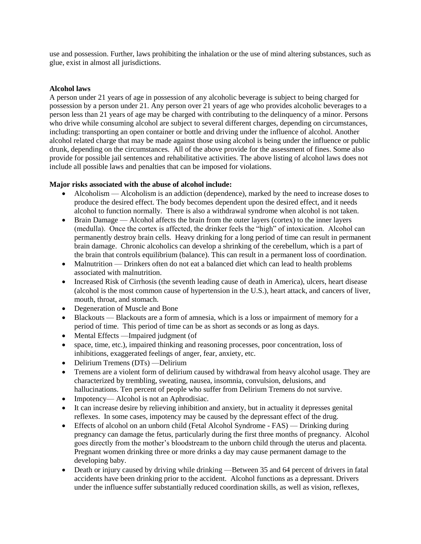use and possession. Further, laws prohibiting the inhalation or the use of mind altering substances, such as glue, exist in almost all jurisdictions.

#### **Alcohol laws**

A person under 21 years of age in possession of any alcoholic beverage is subject to being charged for possession by a person under 21. Any person over 21 years of age who provides alcoholic beverages to a person less than 21 years of age may be charged with contributing to the delinquency of a minor. Persons who drive while consuming alcohol are subject to several different charges, depending on circumstances, including: transporting an open container or bottle and driving under the influence of alcohol. Another alcohol related charge that may be made against those using alcohol is being under the influence or public drunk, depending on the circumstances. All of the above provide for the assessment of fines. Some also provide for possible jail sentences and rehabilitative activities. The above listing of alcohol laws does not include all possible laws and penalties that can be imposed for violations.

#### **Major risks associated with the abuse of alcohol include:**

- Alcoholism Alcoholism is an addiction (dependence), marked by the need to increase doses to produce the desired effect. The body becomes dependent upon the desired effect, and it needs alcohol to function normally. There is also a withdrawal syndrome when alcohol is not taken.
- Brain Damage Alcohol affects the brain from the outer layers (cortex) to the inner layers (medulla). Once the cortex is affected, the drinker feels the "high" of intoxication. Alcohol can permanently destroy brain cells. Heavy drinking for a long period of time can result in permanent brain damage. Chronic alcoholics can develop a shrinking of the cerebellum, which is a part of the brain that controls equilibrium (balance). This can result in a permanent loss of coordination.
- Malnutrition Drinkers often do not eat a balanced diet which can lead to health problems associated with malnutrition.
- Increased Risk of Cirrhosis (the seventh leading cause of death in America), ulcers, heart disease (alcohol is the most common cause of hypertension in the U.S.), heart attack, and cancers of liver, mouth, throat, and stomach.
- Degeneration of Muscle and Bone
- Blackouts Blackouts are a form of amnesia, which is a loss or impairment of memory for a period of time. This period of time can be as short as seconds or as long as days.
- Mental Effects —Impaired judgment (of
- space, time, etc.), impaired thinking and reasoning processes, poor concentration, loss of inhibitions, exaggerated feelings of anger, fear, anxiety, etc.
- Delirium Tremens (DTs) —Delirium
- Tremens are a violent form of delirium caused by withdrawal from heavy alcohol usage. They are characterized by trembling, sweating, nausea, insomnia, convulsion, delusions, and hallucinations. Ten percent of people who suffer from Delirium Tremens do not survive.
- Impotency— Alcohol is not an Aphrodisiac.
- It can increase desire by relieving inhibition and anxiety, but in actuality it depresses genital reflexes. In some cases, impotency may be caused by the depressant effect of the drug.
- Effects of alcohol on an unborn child (Fetal Alcohol Syndrome FAS) Drinking during pregnancy can damage the fetus, particularly during the first three months of pregnancy. Alcohol goes directly from the mother's bloodstream to the unborn child through the uterus and placenta. Pregnant women drinking three or more drinks a day may cause permanent damage to the developing baby.
- Death or injury caused by driving while drinking —Between 35 and 64 percent of drivers in fatal accidents have been drinking prior to the accident. Alcohol functions as a depressant. Drivers under the influence suffer substantially reduced coordination skills, as well as vision, reflexes,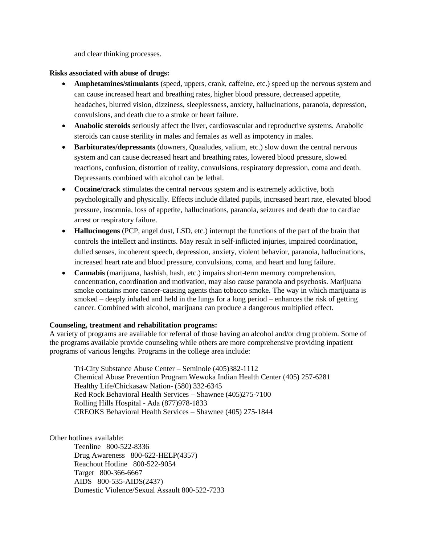and clear thinking processes.

#### **Risks associated with abuse of drugs:**

- **Amphetamines/stimulants** (speed, uppers, crank, caffeine, etc.) speed up the nervous system and can cause increased heart and breathing rates, higher blood pressure, decreased appetite, headaches, blurred vision, dizziness, sleeplessness, anxiety, hallucinations, paranoia, depression, convulsions, and death due to a stroke or heart failure.
- **Anabolic steroids** seriously affect the liver, cardiovascular and reproductive systems. Anabolic steroids can cause sterility in males and females as well as impotency in males.
- **Barbiturates/depressants** (downers, Quaaludes, valium, etc.) slow down the central nervous system and can cause decreased heart and breathing rates, lowered blood pressure, slowed reactions, confusion, distortion of reality, convulsions, respiratory depression, coma and death. Depressants combined with alcohol can be lethal.
- **Cocaine/crack** stimulates the central nervous system and is extremely addictive, both psychologically and physically. Effects include dilated pupils, increased heart rate, elevated blood pressure, insomnia, loss of appetite, hallucinations, paranoia, seizures and death due to cardiac arrest or respiratory failure.
- **Hallucinogens** (PCP, angel dust, LSD, etc.) interrupt the functions of the part of the brain that controls the intellect and instincts. May result in self-inflicted injuries, impaired coordination, dulled senses, incoherent speech, depression, anxiety, violent behavior, paranoia, hallucinations, increased heart rate and blood pressure, convulsions, coma, and heart and lung failure.
- **Cannabis** (marijuana, hashish, hash, etc.) impairs short-term memory comprehension, concentration, coordination and motivation, may also cause paranoia and psychosis. Marijuana smoke contains more cancer-causing agents than tobacco smoke. The way in which marijuana is smoked – deeply inhaled and held in the lungs for a long period – enhances the risk of getting cancer. Combined with alcohol, marijuana can produce a dangerous multiplied effect.

#### **Counseling, treatment and rehabilitation programs:**

A variety of programs are available for referral of those having an alcohol and/or drug problem. Some of the programs available provide counseling while others are more comprehensive providing inpatient programs of various lengths. Programs in the college area include:

Tri-City Substance Abuse Center – Seminole (405)382-1112 Chemical Abuse Prevention Program Wewoka Indian Health Center (405) 257-6281 Healthy Life/Chickasaw Nation- (580) 332-6345 Red Rock Behavioral Health Services – Shawnee (405)275-7100 Rolling Hills Hospital - Ada (877)978-1833 CREOKS Behavioral Health Services – Shawnee (405) 275-1844

Other hotlines available:

Teenline 800-522-8336 Drug Awareness 800-622-HELP(4357) Reachout Hotline 800-522-9054 Target 800-366-6667 AIDS 800-535-AIDS(2437) Domestic Violence/Sexual Assault 800-522-7233